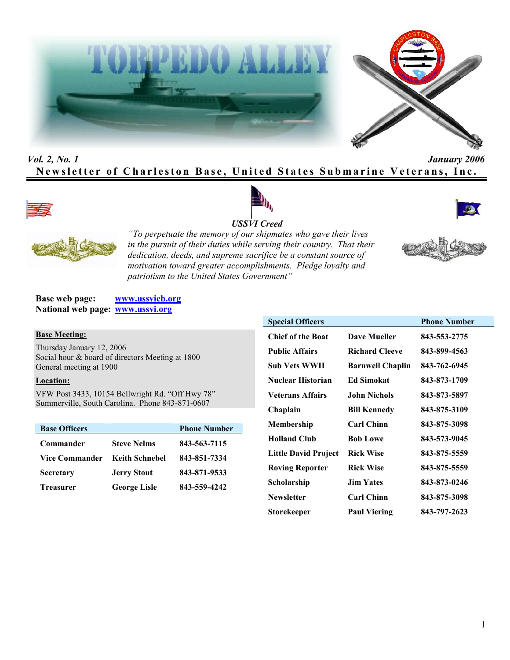



# *Vol. 2, No. 1 January 2006* **Newsletter of Charleston Base, United States Submarine Veterans, Inc.**









*"To perpetuate the memory of our shipmates who gave their lives in the pursuit of their duties while serving their country. That their dedication, deeds, and supreme sacrifice be a constant source of motivation toward greater accomplishments. Pledge loyalty and patriotism to the United States Government"*

**Base web page: www.ussvicb.org National web page: www.ussvi.org**

#### **Base Meeting:**

Thursday January 12, 2006 Social hour & board of directors Meeting at 1800 General meeting at 1900

## **Location:**

VFW Post 3433, 10154 Bellwright Rd. "Off Hwy 78" Summerville, South Carolina. Phone 843-871-0607

| <b>Base Officers</b> |                       | <b>Phone Number</b> |
|----------------------|-----------------------|---------------------|
| Commander            | <b>Steve Nelms</b>    | 843-563-7115        |
| Vice Commander       | <b>Keith Schnebel</b> | 843-851-7334        |
| <b>Secretary</b>     | <b>Jerry Stout</b>    | 843-871-9533        |
| <b>Treasurer</b>     | <b>George Lisle</b>   | 843-559-4242        |

| <b>Special Officers</b>     |                         | <b>Phone Number</b> |
|-----------------------------|-------------------------|---------------------|
| <b>Chief of the Boat</b>    | <b>Dave Mueller</b>     | 843-553-2775        |
| <b>Public Affairs</b>       | <b>Richard Cleeve</b>   | 843-899-4563        |
| Sub Vets WWII               | <b>Barnwell Chaplin</b> | 843-762-6945        |
| <b>Nuclear Historian</b>    | <b>Ed Simokat</b>       | 843-873-1709        |
| <b>Veterans Affairs</b>     | <b>John Nichols</b>     | 843-873-5897        |
| Chaplain                    | <b>Bill Kennedy</b>     | 843-875-3109        |
| Membership                  | <b>Carl Chinn</b>       | 843-875-3098        |
| <b>Holland Club</b>         | <b>Bob Lowe</b>         | 843-573-9045        |
| <b>Little David Project</b> | <b>Rick Wise</b>        | 843-875-5559        |
| <b>Roving Reporter</b>      | <b>Rick Wise</b>        | 843-875-5559        |
| Scholarship                 | <b>Jim Yates</b>        | 843-873-0246        |
| <b>Newsletter</b>           | <b>Carl Chinn</b>       | 843-875-3098        |
| Storekeeper                 | <b>Paul Viering</b>     | 843-797-2623        |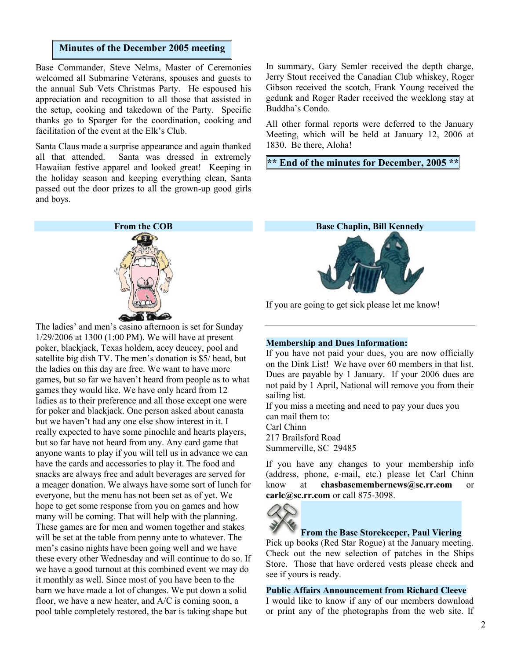# **Minutes of the December 2005 meeting**

Base Commander, Steve Nelms, Master of Ceremonies welcomed all Submarine Veterans, spouses and guests to the annual Sub Vets Christmas Party. He espoused his appreciation and recognition to all those that assisted in the setup, cooking and takedown of the Party. Specific thanks go to Sparger for the coordination, cooking and facilitation of the event at the Elk's Club.

Santa Claus made a surprise appearance and again thanked all that attended. Santa was dressed in extremely Hawaiian festive apparel and looked great! Keeping in the holiday season and keeping everything clean, Santa passed out the door prizes to all the grown-up good girls and boys.

**From the COB**

The ladies' and men's casino afternoon is set for Sunday 1/29/2006 at 1300 (1:00 PM). We will have at present poker, blackjack, Texas holdem, acey deucey, pool and satellite big dish TV. The men's donation is \$5/ head, but the ladies on this day are free. We want to have more games, but so far we haven't heard from people as to what games they would like. We have only heard from 12 ladies as to their preference and all those except one were for poker and blackjack. One person asked about canasta but we haven't had any one else show interest in it. I really expected to have some pinochle and hearts players, but so far have not heard from any. Any card game that anyone wants to play if you will tell us in advance we can have the cards and accessories to play it. The food and snacks are always free and adult beverages are served for a meager donation. We always have some sort of lunch for everyone, but the menu has not been set as of yet. We hope to get some response from you on games and how many will be coming. That will help with the planning. These games are for men and women together and stakes will be set at the table from penny ante to whatever. The men's casino nights have been going well and we have these every other Wednesday and will continue to do so. If we have a good turnout at this combined event we may do it monthly as well. Since most of you have been to the barn we have made a lot of changes. We put down a solid floor, we have a new heater, and A/C is coming soon, a pool table completely restored, the bar is taking shape but

In summary, Gary Semler received the depth charge, Jerry Stout received the Canadian Club whiskey, Roger Gibson received the scotch, Frank Young received the gedunk and Roger Rader received the weeklong stay at Buddha's Condo.

All other formal reports were deferred to the January Meeting, which will be held at January 12, 2006 at 1830. Be there, Aloha!

**\*\* End of the minutes for December, 2005 \*\***



If you are going to get sick please let me know!

#### **Membership and Dues Information:**

If you have not paid your dues, you are now officially on the Dink List! We have over 60 members in that list. Dues are payable by 1 January. If your 2006 dues are not paid by 1 April, National will remove you from their sailing list.

If you miss a meeting and need to pay your dues you can mail them to: Carl Chinn 217 Brailsford Road Summerville, SC 29485

If you have any changes to your membership info (address, phone, e-mail, etc.) please let Carl Chinn know at **chasbasemembernews@sc.rr.com** or **carlc@sc.rr.com** or call 875-3098.



# **From the Base Storekeeper, Paul Viering**

Pick up books (Red Star Rogue) at the January meeting. Check out the new selection of patches in the Ships Store. Those that have ordered vests please check and see if yours is ready.

#### **Public Affairs Announcement from Richard Cleeve**

I would like to know if any of our members download or print any of the photographs from the web site. If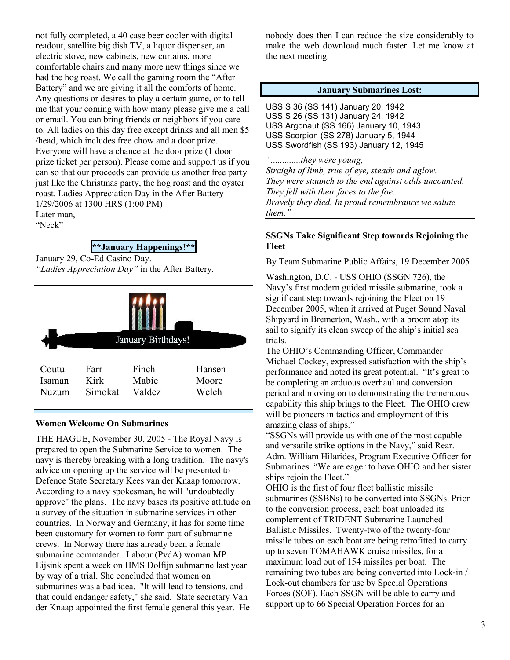not fully completed, a 40 case beer cooler with digital readout, satellite big dish TV, a liquor dispenser, an electric stove, new cabinets, new curtains, more comfortable chairs and many more new things since we had the hog roast. We call the gaming room the "After Battery" and we are giving it all the comforts of home. Any questions or desires to play a certain game, or to tell me that your coming with how many please give me a call or email. You can bring friends or neighbors if you care to. All ladies on this day free except drinks and all men \$5 /head, which includes free chow and a door prize. Everyone will have a chance at the door prize (1 door prize ticket per person). Please come and support us if you can so that our proceeds can provide us another free party just like the Christmas party, the hog roast and the oyster roast. Ladies Appreciation Day in the After Battery 1/29/2006 at 1300 HRS (1:00 PM) Later man,

"Neck"

**\*\*January Happenings!\*\***

January 29, Co-Ed Casino Day.

*"Ladies Appreciation Day"* in the After Battery.



### **Women Welcome On Submarines**

THE HAGUE, November 30, 2005 - The Royal Navy is prepared to open the Submarine Service to women. The navy is thereby breaking with a long tradition. The navy's advice on opening up the service will be presented to Defence State Secretary Kees van der Knaap tomorrow. According to a navy spokesman, he will "undoubtedly approve" the plans. The navy bases its positive attitude on a survey of the situation in submarine services in other countries. In Norway and Germany, it has for some time been customary for women to form part of submarine crews. In Norway there has already been a female submarine commander. Labour (PvdA) woman MP Eijsink spent a week on HMS Dolfijn submarine last year by way of a trial. She concluded that women on submarines was a bad idea. "It will lead to tensions, and that could endanger safety," she said. State secretary Van der Knaap appointed the first female general this year. He

nobody does then I can reduce the size considerably to make the web download much faster. Let me know at the next meeting.

#### **January Submarines Lost:**

USS S 36 (SS 141) January 20, 1942 USS S 26 (SS 131) January 24, 1942 USS Argonaut (SS 166) January 10, 1943 USS Scorpion (SS 278) January 5, 1944 USS Swordfish (SS 193) January 12, 1945

*".............they were young, Straight of limb, true of eye, steady and aglow. They were staunch to the end against odds uncounted. They fell with their faces to the foe. Bravely they died. In proud remembrance we salute them."*

## **SSGNs Take Significant Step towards Rejoining the Fleet**

By Team Submarine Public Affairs, 19 December 2005

Washington, D.C. - USS OHIO (SSGN 726), the Navy's first modern guided missile submarine, took a significant step towards rejoining the Fleet on 19 December 2005, when it arrived at Puget Sound Naval Shipyard in Bremerton, Wash., with a broom atop its sail to signify its clean sweep of the ship's initial sea trials.

The OHIO's Commanding Officer, Commander Michael Cockey, expressed satisfaction with the ship's performance and noted its great potential. "It's great to be completing an arduous overhaul and conversion period and moving on to demonstrating the tremendous capability this ship brings to the Fleet. The OHIO crew will be pioneers in tactics and employment of this amazing class of ships."

"SSGNs will provide us with one of the most capable and versatile strike options in the Navy," said Rear. Adm. William Hilarides, Program Executive Officer for Submarines. "We are eager to have OHIO and her sister ships rejoin the Fleet."

OHIO is the first of four fleet ballistic missile submarines (SSBNs) to be converted into SSGNs. Prior to the conversion process, each boat unloaded its complement of TRIDENT Submarine Launched Ballistic Missiles. Twenty-two of the twenty-four missile tubes on each boat are being retrofitted to carry up to seven TOMAHAWK cruise missiles, for a maximum load out of 154 missiles per boat. The remaining two tubes are being converted into Lock-in / Lock-out chambers for use by Special Operations Forces (SOF). Each SSGN will be able to carry and support up to 66 Special Operation Forces for an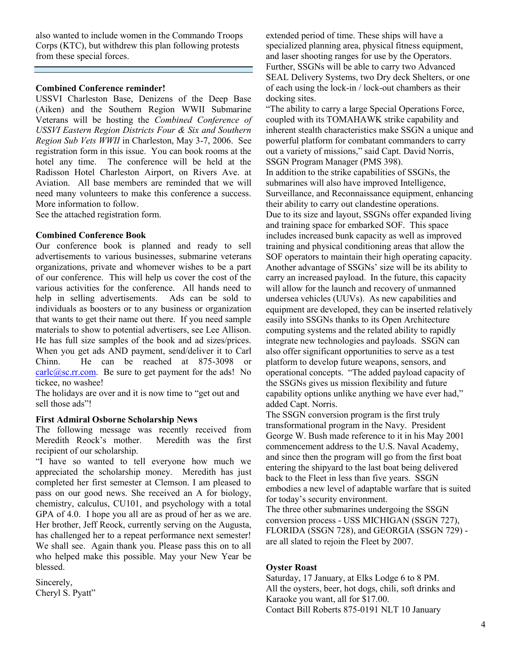also wanted to include women in the Commando Troops Corps (KTC), but withdrew this plan following protests from these special forces.

#### **Combined Conference reminder!**

USSVI Charleston Base, Denizens of the Deep Base (Aiken) and the Southern Region WWII Submarine Veterans will be hosting the *Combined Conference of USSVI Eastern Region Districts Four & Six and Southern Region Sub Vets WWII* in Charleston, May 3-7, 2006. See registration form in this issue. You can book rooms at the hotel any time. The conference will be held at the Radisson Hotel Charleston Airport, on Rivers Ave. at Aviation. All base members are reminded that we will need many volunteers to make this conference a success. More information to follow.

See the attached registration form.

### **Combined Conference Book**

Our conference book is planned and ready to sell advertisements to various businesses, submarine veterans organizations, private and whomever wishes to be a part of our conference. This will help us cover the cost of the various activities for the conference. All hands need to help in selling advertisements. Ads can be sold to help in selling advertisements. individuals as boosters or to any business or organization that wants to get their name out there. If you need sample materials to show to potential advertisers, see Lee Allison. He has full size samples of the book and ad sizes/prices. When you get ads AND payment, send/deliver it to Carl Chinn. He can be reached at 875-3098 or carlc@sc.rr.com. Be sure to get payment for the ads! No tickee, no washee!

The holidays are over and it is now time to "get out and sell those ads"!

## **First Admiral Osborne Scholarship News**

The following message was recently received from<br>Meredith Reock's mother. Meredith was the first Meredith Reock's mother. recipient of our scholarship.

"I have so wanted to tell everyone how much we appreciated the scholarship money. Meredith has just completed her first semester at Clemson. I am pleased to pass on our good news. She received an A for biology, chemistry, calculus, CU101, and psychology with a total GPA of 4.0. I hope you all are as proud of her as we are. Her brother, Jeff Reock, currently serving on the Augusta, has challenged her to a repeat performance next semester! We shall see. Again thank you. Please pass this on to all who helped make this possible. May your New Year be blessed.

Sincerely, Cheryl S. Pyatt" extended period of time. These ships will have a specialized planning area, physical fitness equipment, and laser shooting ranges for use by the Operators. Further, SSGNs will be able to carry two Advanced SEAL Delivery Systems, two Dry deck Shelters, or one of each using the lock-in / lock-out chambers as their docking sites.

"The ability to carry a large Special Operations Force, coupled with its TOMAHAWK strike capability and inherent stealth characteristics make SSGN a unique and powerful platform for combatant commanders to carry out a variety of missions," said Capt. David Norris, SSGN Program Manager (PMS 398). In addition to the strike capabilities of SSGNs, the submarines will also have improved Intelligence, Surveillance, and Reconnaissance equipment, enhancing their ability to carry out clandestine operations. Due to its size and layout, SSGNs offer expanded living and training space for embarked SOF. This space includes increased bunk capacity as well as improved training and physical conditioning areas that allow the SOF operators to maintain their high operating capacity. Another advantage of SSGNs' size will be its ability to carry an increased payload. In the future, this capacity will allow for the launch and recovery of unmanned undersea vehicles (UUVs). As new capabilities and equipment are developed, they can be inserted relatively easily into SSGNs thanks to its Open Architecture computing systems and the related ability to rapidly integrate new technologies and payloads. SSGN can also offer significant opportunities to serve as a test platform to develop future weapons, sensors, and operational concepts. "The added payload capacity of the SSGNs gives us mission flexibility and future capability options unlike anything we have ever had," added Capt. Norris.

The SSGN conversion program is the first truly transformational program in the Navy. President George W. Bush made reference to it in his May 2001 commencement address to the U.S. Naval Academy, and since then the program will go from the first boat entering the shipyard to the last boat being delivered back to the Fleet in less than five years. SSGN embodies a new level of adaptable warfare that is suited for today's security environment. The three other submarines undergoing the SSGN

conversion process - USS MICHIGAN (SSGN 727), FLORIDA (SSGN 728), and GEORGIA (SSGN 729) are all slated to rejoin the Fleet by 2007.

### **Oyster Roast**

Saturday, 17 January, at Elks Lodge 6 to 8 PM. All the oysters, beer, hot dogs, chili, soft drinks and Karaoke you want, all for \$17.00. Contact Bill Roberts 875-0191 NLT 10 January